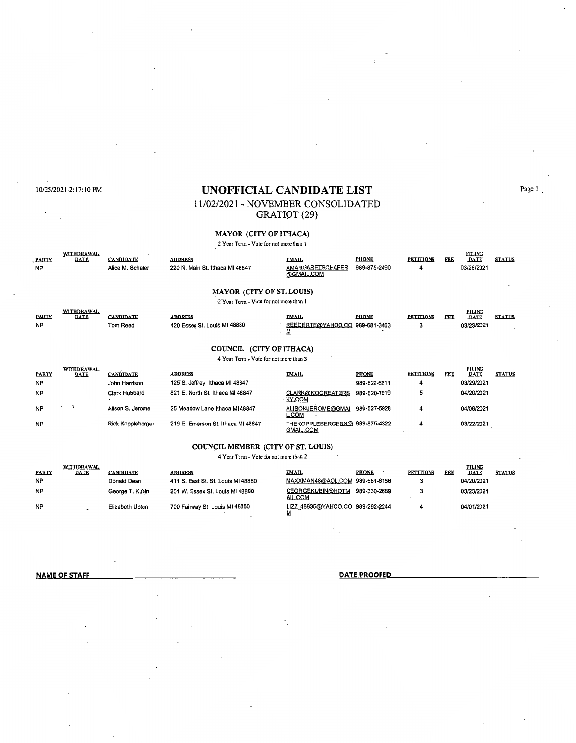$\mathbb{R}^2$  $\mathcal{L}_{\mathcal{A}}$ 

# 10/25/20212:17:10 PM **UNOFFICIAL CANDIDA TE LIST** Page I \_

## 11/02/2021 - NOVEMBER CONSOLIDATED GRATIOT (29)

**MAYOR (CITY OF ITHACA) 2 Year Term - Vote for not more than l** 

| 2 Year Term - Vote for not more than I |                                  |                                      |                                                   |                                                     |                              |                       |            |                                            |               |  |  |
|----------------------------------------|----------------------------------|--------------------------------------|---------------------------------------------------|-----------------------------------------------------|------------------------------|-----------------------|------------|--------------------------------------------|---------------|--|--|
| <b>PARTY</b><br><b>NP</b>              | <b>WITHDRAWAL</b><br>DATE        | <b>CANDIDATE</b><br>Alice M. Schafer | <b>ADDRESS</b><br>220 N. Main St. Ithaca MI 48847 | EMAIL<br>AMARGARETSCHAFER<br>@GMAIL.COM             | <b>PHONE</b><br>989-875-2490 | <b>PETITIONS</b><br>4 | <b>FEE</b> | <b>FILING</b><br><b>DATE</b><br>03/26/2021 | <b>STATUS</b> |  |  |
| <b>MAYOR (CITY OF ST. LOUIS)</b>       |                                  |                                      |                                                   |                                                     |                              |                       |            |                                            |               |  |  |
| 2 Year Term - Vote for not more than 1 |                                  |                                      |                                                   |                                                     |                              |                       |            |                                            |               |  |  |
| <b>PARTY</b><br><b>NP</b>              | <b>WITHDRAWAL</b><br><b>DATE</b> | <b>CANDIDATE</b><br>Tom Reed         | <b>ADDRESS</b><br>420 Essex St. Louis MI 48880    | <b>EMAIL</b><br>REEDERTE@YAHOO.CO 989-681-3463<br>м | <b>PHONE</b>                 | <b>PETITIONS</b><br>3 | <b>FEE</b> | <b>FILING</b><br>DATE<br>03/23/2021        | <b>STATUS</b> |  |  |
| COUNCIL (CITY OF ITHACA)               |                                  |                                      |                                                   |                                                     |                              |                       |            |                                            |               |  |  |
| 4 Year Term - Vote for not more than 3 |                                  |                                      |                                                   |                                                     |                              |                       |            |                                            |               |  |  |
| <b>PARTY</b><br>ΝP                     | <b>WITHDRAWAL</b><br>DATE        | <b>CANDIDATE</b><br>John Harrison    | <b>ADDRESS</b><br>125 S. Jeffrey Ithaca MI 48847  | <b>EMAIL</b>                                        | <b>PHONE</b><br>989-620-6611 | <b>PETITIONS</b><br>4 | <b>FEE</b> | <b>FILING</b><br><b>DATE</b><br>03/29/2021 | <b>STATUS</b> |  |  |
| <b>NP</b>                              |                                  | Clark Hubbard                        | 821 E. North St. Ithaca MI 48847                  | <b>CLARK@NOGREATERS</b><br><b>KY.COM</b>            | 989-620-7619                 | 5                     |            | 04/20/2021                                 |               |  |  |
| <b>NP</b>                              | $\rightarrow$<br>٠               | Alison S. Jerome                     | 25 Meadow Lane Ithaca MI 48847                    | <b>ALISONJEROME@GMAI</b><br><b>L.COM</b>            | 989-827-5928                 | 4                     |            | 04/08/2021                                 |               |  |  |
| <b>NP</b>                              |                                  | Rick Koppleberger                    | 219 E. Emerson St. Ithaca MI 48847                | THEKOPPLEBERGERS@ 989-875-4322<br><b>GMAIL.COM</b>  |                              | 4                     |            | 03/22/2021                                 |               |  |  |

#### **COUNCIL MEMBER (CITY OF ST. LOUIS)**

**4 Year Tenn - Vote for not more than 2** 

| <b>PARTY</b> | <b>WITHDRAWAL</b><br><b>DATE</b> | <b>CANDIDATE</b> | <b>ADDRESS</b>                     | EMAIL                            | <b>PHONE</b> | <b>PETITIONS</b> | FEE | <b>FILING</b><br>DATE | <b>STATUS</b> |
|--------------|----------------------------------|------------------|------------------------------------|----------------------------------|--------------|------------------|-----|-----------------------|---------------|
| <b>NP</b>    |                                  | Donald Dean      | 411 S. East St. St. Louis MI 48880 | MAXXMAN48@AOL.COM 989-681-8156   |              |                  |     | 04/20/2021            |               |
| <b>NP</b>    |                                  | George T. Kubin  | 201 W. Essex St. Louis MI 48880    | GEORGEKUBIN@HOTM<br>AIL.COM      | 989-330-2689 |                  |     | 03/23/2021            |               |
| <b>NP</b>    |                                  | Elizabeth Upton  | 700 Fairway St. Louis MI 48880     | LIZ7 48835@YAHOO.CO 989-292-2244 |              |                  |     | 04/01/2021            |               |

 $\mathbb{Z}^2$ 

**NAME OF STAFF DATE PROOFED**